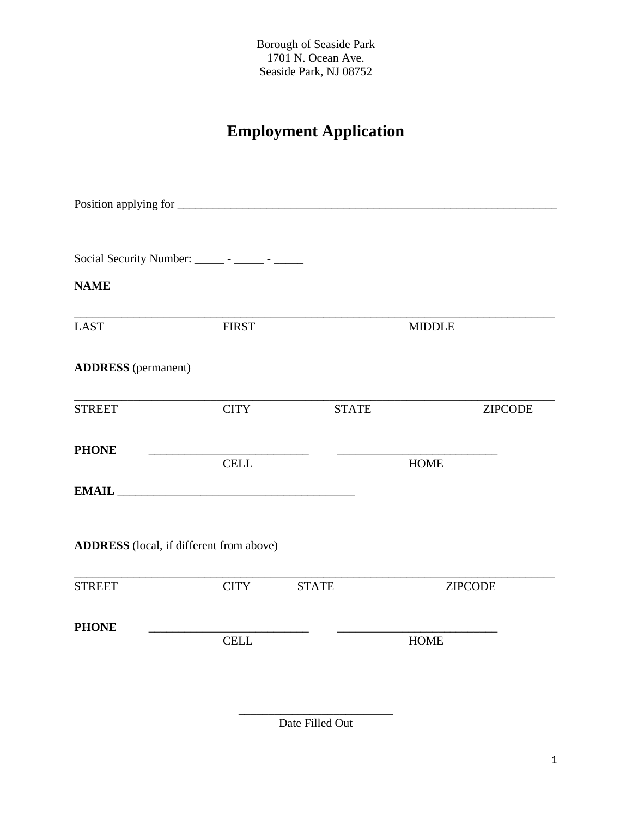# **Employment Application**

|                            | Social Security Number: _______ - ______ - ______ |              |                |                |
|----------------------------|---------------------------------------------------|--------------|----------------|----------------|
| <b>NAME</b>                |                                                   |              |                |                |
| <b>LAST</b>                | <b>FIRST</b>                                      |              | <b>MIDDLE</b>  |                |
| <b>ADDRESS</b> (permanent) |                                                   |              |                |                |
| <b>STREET</b>              | <b>CITY</b>                                       | <b>STATE</b> |                | <b>ZIPCODE</b> |
| <b>PHONE</b>               | <b>CELL</b>                                       |              | <b>HOME</b>    |                |
|                            |                                                   |              |                |                |
|                            | <b>ADDRESS</b> (local, if different from above)   |              |                |                |
| <b>STREET</b>              | <b>CITY</b>                                       | <b>STATE</b> | <b>ZIPCODE</b> |                |
| <b>PHONE</b>               | <b>CELL</b>                                       |              | <b>HOME</b>    |                |
|                            |                                                   |              |                |                |

\_\_\_\_\_\_\_\_\_\_\_\_\_\_\_\_\_\_\_\_\_\_\_\_\_\_ Date Filled Out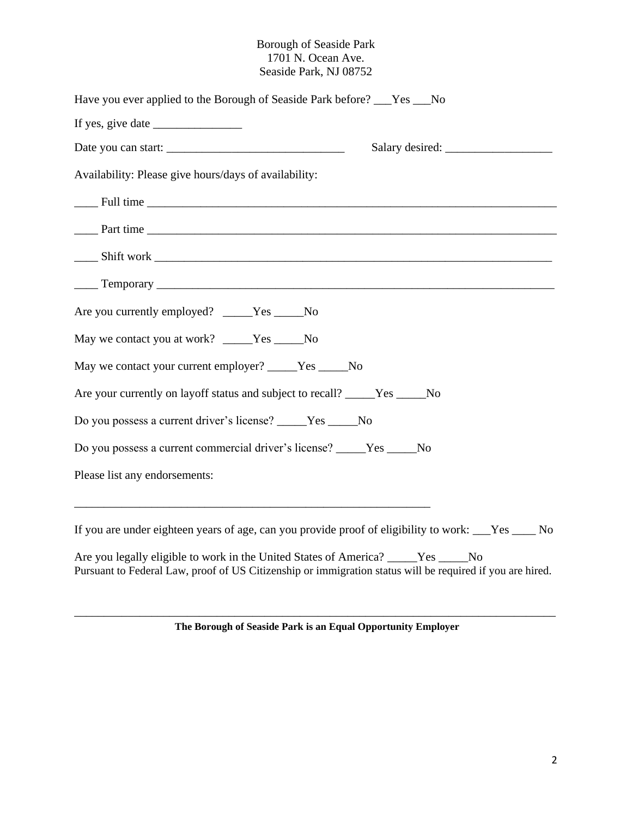| Have you ever applied to the Borough of Seaside Park before? ___Yes ___No                                                                                                                                                      |
|--------------------------------------------------------------------------------------------------------------------------------------------------------------------------------------------------------------------------------|
|                                                                                                                                                                                                                                |
|                                                                                                                                                                                                                                |
| Availability: Please give hours/days of availability:                                                                                                                                                                          |
|                                                                                                                                                                                                                                |
|                                                                                                                                                                                                                                |
|                                                                                                                                                                                                                                |
|                                                                                                                                                                                                                                |
| Are you currently employed? _____Yes _____No                                                                                                                                                                                   |
| May we contact you at work? ____Yes ____No                                                                                                                                                                                     |
| May we contact your current employer? _____Yes _____No                                                                                                                                                                         |
| Are your currently on layoff status and subject to recall? _____Yes _____No                                                                                                                                                    |
| Do you possess a current driver's license? _____Yes ____No                                                                                                                                                                     |
| Do you possess a current commercial driver's license? _____Yes _____No                                                                                                                                                         |
| Please list any endorsements:                                                                                                                                                                                                  |
| <u> Alexandro Alexandro Alexandro Alexandro Alexandro Alexandro Alexandro Alexandro Alexandro Alexandro Alexandro </u><br>If you are under eighteen years of age, can you provide proof of eligibility to work: ___Yes ____ No |

Are you legally eligible to work in the United States of America? \_\_\_\_\_Yes \_\_\_\_No Pursuant to Federal Law, proof of US Citizenship or immigration status will be required if you are hired.

\_\_\_\_\_\_\_\_\_\_\_\_\_\_\_\_\_\_\_\_\_\_\_\_\_\_\_\_\_\_\_\_\_\_\_\_\_\_\_\_\_\_\_\_\_\_\_\_\_\_\_\_\_\_\_\_\_\_\_\_\_\_\_\_\_\_\_\_\_\_\_\_\_\_\_\_\_\_\_\_\_ **The Borough of Seaside Park is an Equal Opportunity Employer**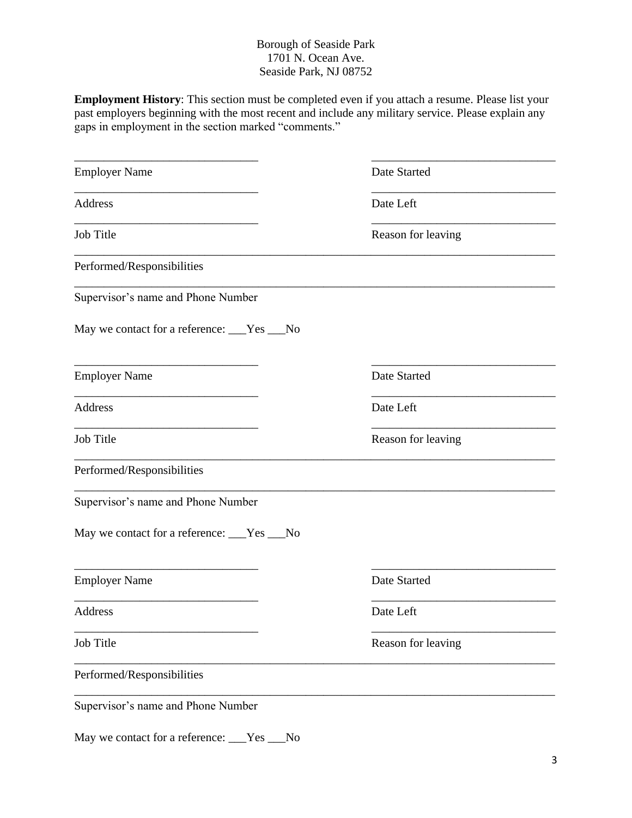**Employment History**: This section must be completed even if you attach a resume. Please list your past employers beginning with the most recent and include any military service. Please explain any gaps in employment in the section marked "comments."

| <b>Employer Name</b>                                     | Date Started       |
|----------------------------------------------------------|--------------------|
| Address                                                  | Date Left          |
| Job Title                                                | Reason for leaving |
| Performed/Responsibilities                               |                    |
| Supervisor's name and Phone Number                       |                    |
| May we contact for a reference: ___Yes __No              |                    |
| <b>Employer Name</b>                                     | Date Started       |
| Address                                                  | Date Left          |
| Job Title                                                | Reason for leaving |
| Performed/Responsibilities                               |                    |
| Supervisor's name and Phone Number                       |                    |
| May we contact for a reference: ___Yes __No              |                    |
| <b>Employer Name</b>                                     | Date Started       |
| Address                                                  | Date Left          |
| Job Title                                                | Reason for leaving |
| Performed/Responsibilities                               |                    |
| Supervisor's name and Phone Number                       |                    |
| May we contact for a reference: ___Yes ___<br>$\sqrt{N}$ |                    |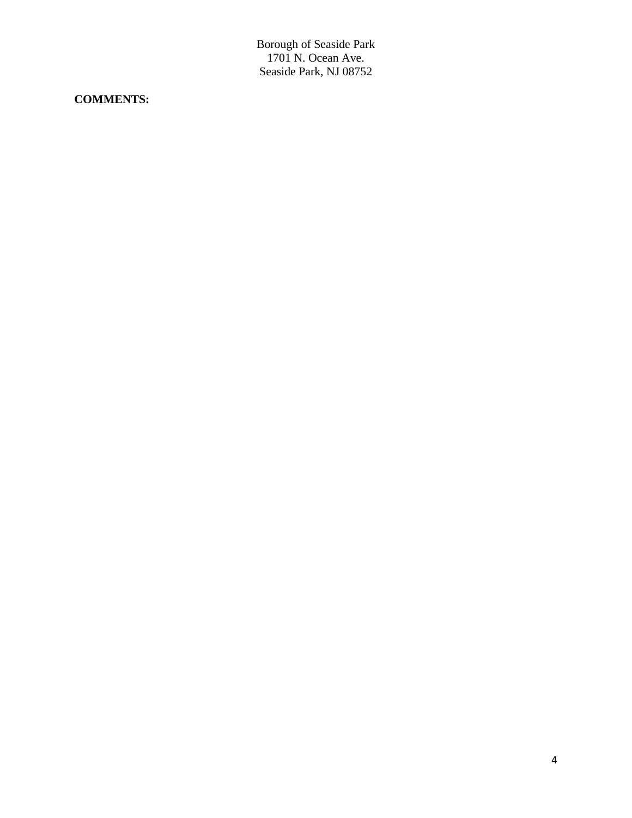# **COMMENTS:**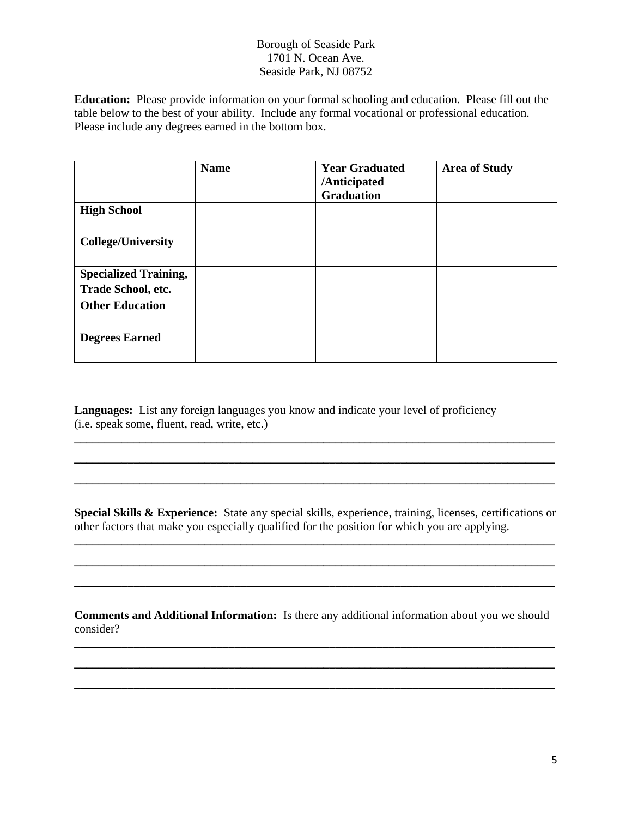**Education:** Please provide information on your formal schooling and education. Please fill out the table below to the best of your ability. Include any formal vocational or professional education. Please include any degrees earned in the bottom box.

|                                                    | <b>Name</b> | <b>Year Graduated</b><br>/Anticipated<br><b>Graduation</b> | <b>Area of Study</b> |
|----------------------------------------------------|-------------|------------------------------------------------------------|----------------------|
| <b>High School</b>                                 |             |                                                            |                      |
| <b>College/University</b>                          |             |                                                            |                      |
| <b>Specialized Training,</b><br>Trade School, etc. |             |                                                            |                      |
| <b>Other Education</b>                             |             |                                                            |                      |
| <b>Degrees Earned</b>                              |             |                                                            |                      |

**Languages:** List any foreign languages you know and indicate your level of proficiency (i.e. speak some, fluent, read, write, etc.)

**\_\_\_\_\_\_\_\_\_\_\_\_\_\_\_\_\_\_\_\_\_\_\_\_\_\_\_\_\_\_\_\_\_\_\_\_\_\_\_\_\_\_\_\_\_\_\_\_\_\_\_\_\_\_\_\_\_\_\_\_\_\_\_\_\_\_\_\_\_\_\_\_\_\_\_\_\_\_\_\_\_**

**Special Skills & Experience:** State any special skills, experience, training, licenses, certifications or other factors that make you especially qualified for the position for which you are applying.

**\_\_\_\_\_\_\_\_\_\_\_\_\_\_\_\_\_\_\_\_\_\_\_\_\_\_\_\_\_\_\_\_\_\_\_\_\_\_\_\_\_\_\_\_\_\_\_\_\_\_\_\_\_\_\_\_\_\_\_\_\_\_\_\_\_\_\_\_\_\_\_\_\_\_\_\_\_\_\_\_\_ \_\_\_\_\_\_\_\_\_\_\_\_\_\_\_\_\_\_\_\_\_\_\_\_\_\_\_\_\_\_\_\_\_\_\_\_\_\_\_\_\_\_\_\_\_\_\_\_\_\_\_\_\_\_\_\_\_\_\_\_\_\_\_\_\_\_\_\_\_\_\_\_\_\_\_\_\_\_\_\_\_ \_\_\_\_\_\_\_\_\_\_\_\_\_\_\_\_\_\_\_\_\_\_\_\_\_\_\_\_\_\_\_\_\_\_\_\_\_\_\_\_\_\_\_\_\_\_\_\_\_\_\_\_\_\_\_\_\_\_\_\_\_\_\_\_\_\_\_\_\_\_\_\_\_\_\_\_\_\_\_\_\_**

**\_\_\_\_\_\_\_\_\_\_\_\_\_\_\_\_\_\_\_\_\_\_\_\_\_\_\_\_\_\_\_\_\_\_\_\_\_\_\_\_\_\_\_\_\_\_\_\_\_\_\_\_\_\_\_\_\_\_\_\_\_\_\_\_\_\_\_\_\_\_\_\_\_\_\_\_\_\_\_\_\_ \_\_\_\_\_\_\_\_\_\_\_\_\_\_\_\_\_\_\_\_\_\_\_\_\_\_\_\_\_\_\_\_\_\_\_\_\_\_\_\_\_\_\_\_\_\_\_\_\_\_\_\_\_\_\_\_\_\_\_\_\_\_\_\_\_\_\_\_\_\_\_\_\_\_\_\_\_\_\_\_\_**

**Comments and Additional Information:** Is there any additional information about you we should consider?

**\_\_\_\_\_\_\_\_\_\_\_\_\_\_\_\_\_\_\_\_\_\_\_\_\_\_\_\_\_\_\_\_\_\_\_\_\_\_\_\_\_\_\_\_\_\_\_\_\_\_\_\_\_\_\_\_\_\_\_\_\_\_\_\_\_\_\_\_\_\_\_\_\_\_\_\_\_\_\_\_\_ \_\_\_\_\_\_\_\_\_\_\_\_\_\_\_\_\_\_\_\_\_\_\_\_\_\_\_\_\_\_\_\_\_\_\_\_\_\_\_\_\_\_\_\_\_\_\_\_\_\_\_\_\_\_\_\_\_\_\_\_\_\_\_\_\_\_\_\_\_\_\_\_\_\_\_\_\_\_\_\_\_ \_\_\_\_\_\_\_\_\_\_\_\_\_\_\_\_\_\_\_\_\_\_\_\_\_\_\_\_\_\_\_\_\_\_\_\_\_\_\_\_\_\_\_\_\_\_\_\_\_\_\_\_\_\_\_\_\_\_\_\_\_\_\_\_\_\_\_\_\_\_\_\_\_\_\_\_\_\_\_\_\_**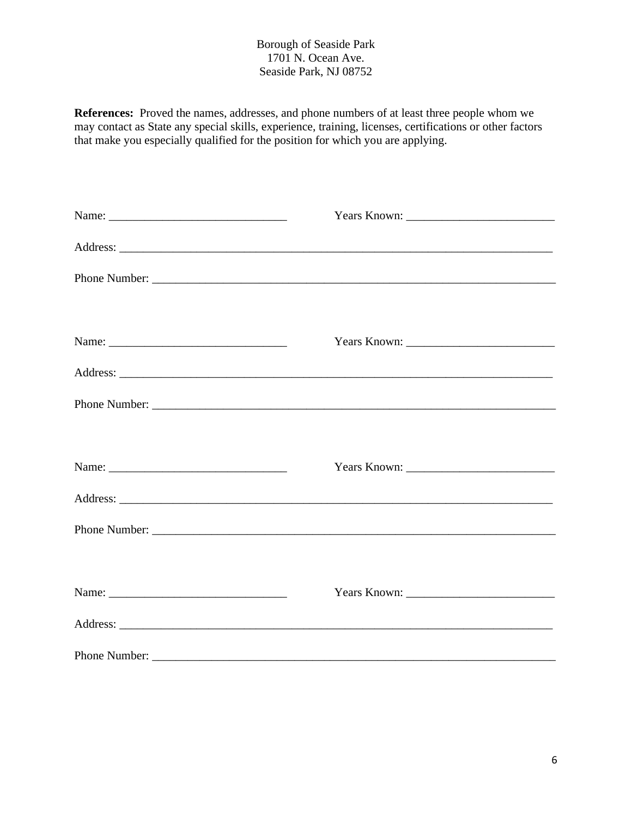**References:** Proved the names, addresses, and phone numbers of at least three people whom we may contact as State any special skills, experience, training, licenses, certifications or other factors that make you especially qualified for the position for which you are applying.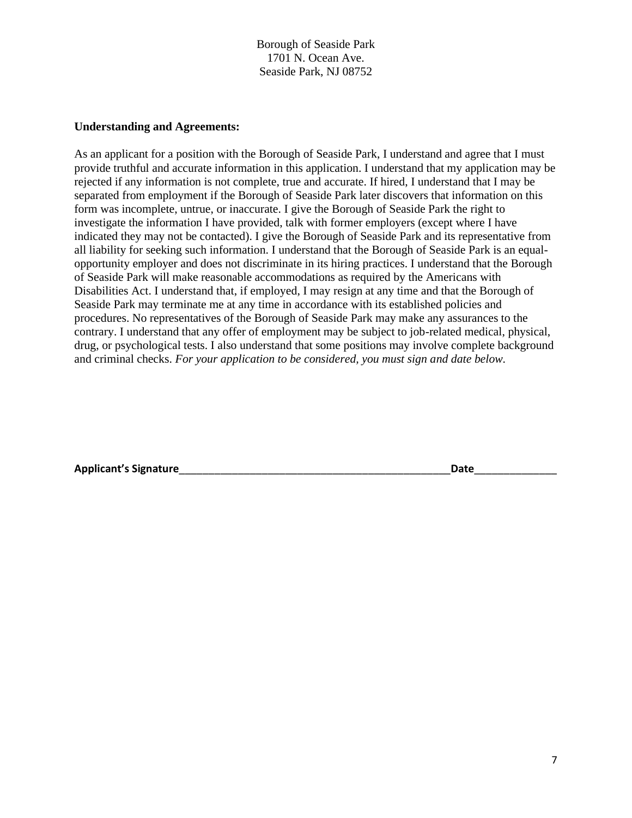#### **Understanding and Agreements:**

As an applicant for a position with the Borough of Seaside Park, I understand and agree that I must provide truthful and accurate information in this application. I understand that my application may be rejected if any information is not complete, true and accurate. If hired, I understand that I may be separated from employment if the Borough of Seaside Park later discovers that information on this form was incomplete, untrue, or inaccurate. I give the Borough of Seaside Park the right to investigate the information I have provided, talk with former employers (except where I have indicated they may not be contacted). I give the Borough of Seaside Park and its representative from all liability for seeking such information. I understand that the Borough of Seaside Park is an equalopportunity employer and does not discriminate in its hiring practices. I understand that the Borough of Seaside Park will make reasonable accommodations as required by the Americans with Disabilities Act. I understand that, if employed, I may resign at any time and that the Borough of Seaside Park may terminate me at any time in accordance with its established policies and procedures. No representatives of the Borough of Seaside Park may make any assurances to the contrary. I understand that any offer of employment may be subject to job-related medical, physical, drug, or psychological tests. I also understand that some positions may involve complete background and criminal checks. *For your application to be considered, you must sign and date below.* 

**Applicant's Signature**\_\_\_\_\_\_\_\_\_\_\_\_\_\_\_\_\_\_\_\_\_\_\_\_\_\_\_\_\_\_\_\_\_\_\_\_\_\_\_\_\_\_\_\_\_\_**Date**\_\_\_\_\_\_\_\_\_\_\_\_\_\_